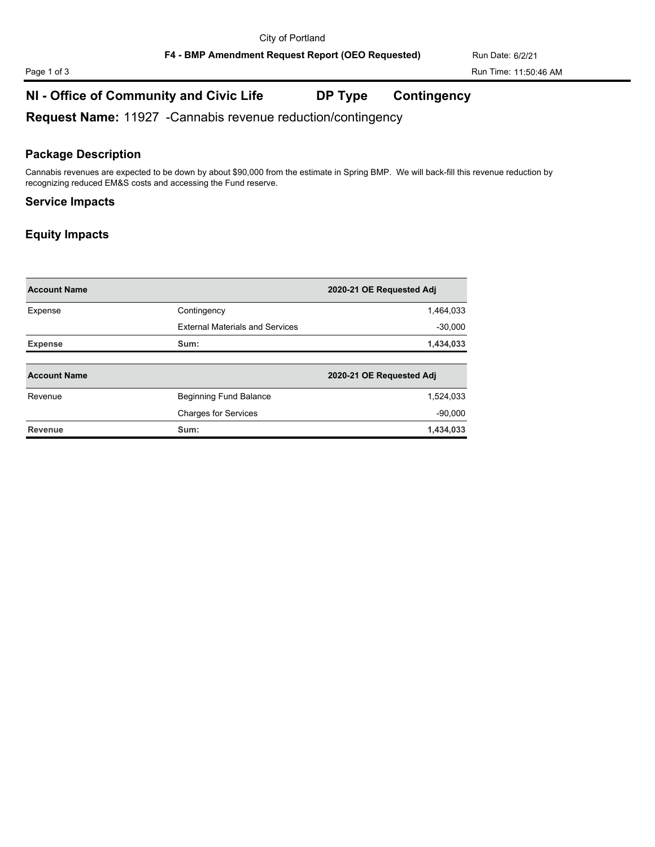F4 - BMP Amendment Request Report (OEO Requested) Run Date: 6/2/21

# **NI - Office of Community and Civic Life DP Type Contingency**

**Request Name:** 11927 -Cannabis revenue reduction/contingency

#### **Package Description**

Cannabis revenues are expected to be down by about \$90,000 from the estimate in Spring BMP. We will back-fill this revenue reduction by recognizing reduced EM&S costs and accessing the Fund reserve.

#### **Service Impacts**

#### **Equity Impacts**

| <b>Account Name</b> |                                        | 2020-21 OE Requested Adj |
|---------------------|----------------------------------------|--------------------------|
| Expense             | Contingency                            | 1,464,033                |
|                     | <b>External Materials and Services</b> | $-30,000$                |
| <b>Expense</b>      | Sum:                                   | 1,434,033                |
|                     |                                        |                          |
| <b>Account Name</b> |                                        | 2020-21 OE Requested Adj |
| Revenue             | <b>Beginning Fund Balance</b>          | 1,524,033                |
|                     | <b>Charges for Services</b>            | $-90,000$                |
| Revenue             | Sum:                                   | 1,434,033                |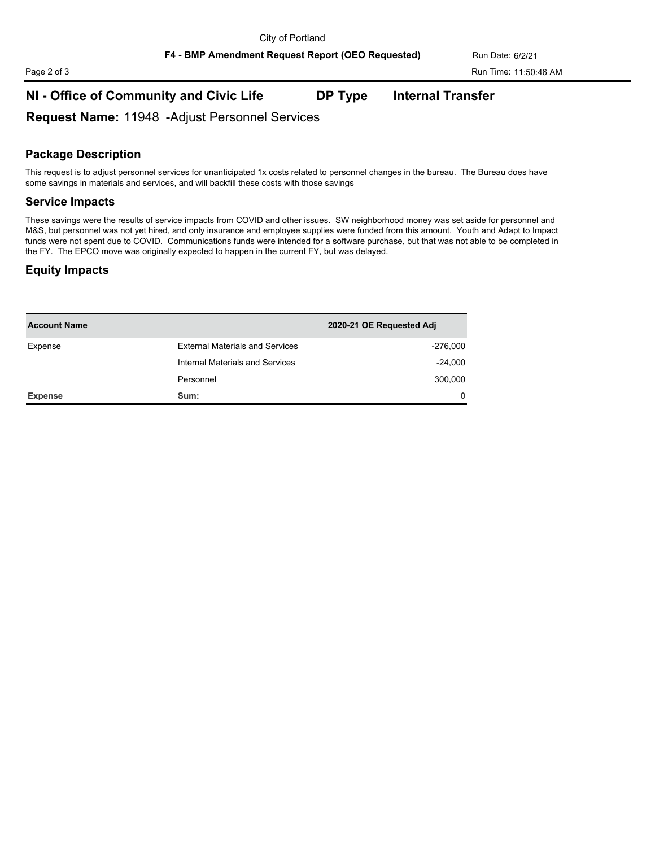**F4 - BMP Amendment Request Report (OEO Requested)** Run Date: 6/2/21

# Page 2 of 3 Run Time: 11:50:46 AM

# **NI - Office of Community and Civic Life DP Type Internal Transfer**

**Request Name:** 11948 -Adjust Personnel Services

### **Package Description**

This request is to adjust personnel services for unanticipated 1x costs related to personnel changes in the bureau. The Bureau does have some savings in materials and services, and will backfill these costs with those savings

#### **Service Impacts**

These savings were the results of service impacts from COVID and other issues. SW neighborhood money was set aside for personnel and M&S, but personnel was not yet hired, and only insurance and employee supplies were funded from this amount. Youth and Adapt to Impact funds were not spent due to COVID. Communications funds were intended for a software purchase, but that was not able to be completed in the FY. The EPCO move was originally expected to happen in the current FY, but was delayed.

#### **Equity Impacts**

| <b>Account Name</b> |                                        | 2020-21 OE Requested Adj |
|---------------------|----------------------------------------|--------------------------|
| Expense             | <b>External Materials and Services</b> | $-276,000$               |
|                     | Internal Materials and Services        | $-24,000$                |
|                     | Personnel                              | 300,000                  |
| <b>Expense</b>      | Sum:                                   | $\mathbf{0}$             |